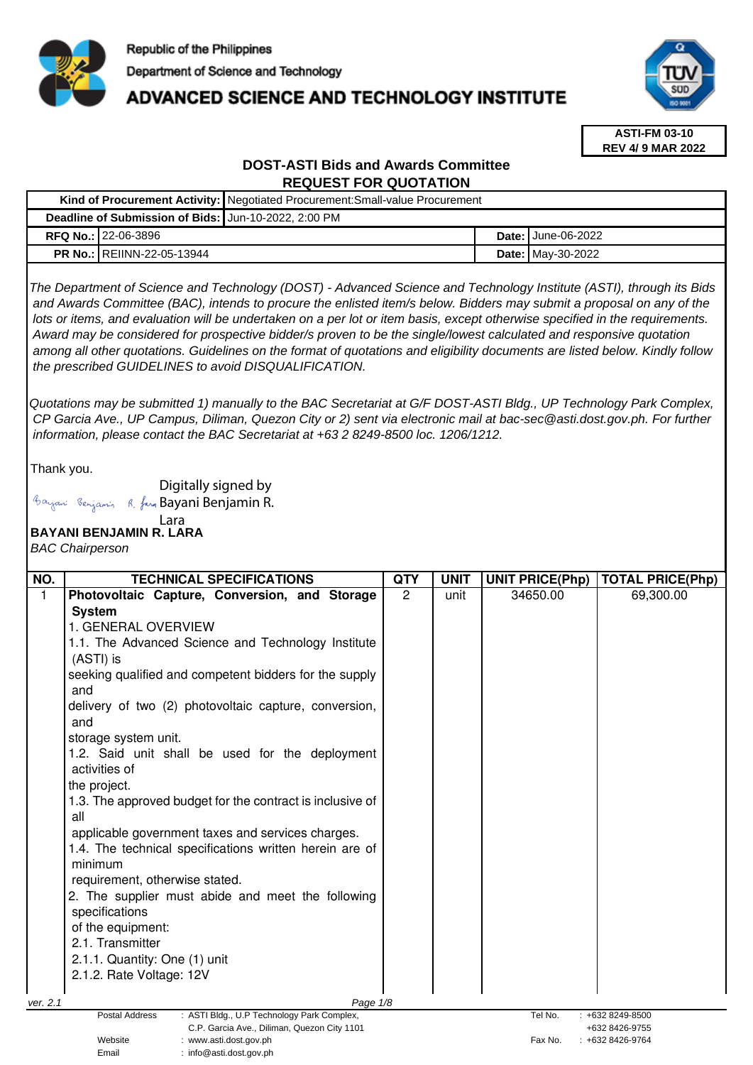

# **ADVANCED SCIENCE AND TECHNOLOGY INSTITUTE**



**ASTI-FM 03-10 REV 4/ 9 MAR 2022**

## **DOST-ASTI Bids and Awards Committee REQUEST FOR QUOTATION**

|  |                                                      | Kind of Procurement Activity:   Negotiated Procurement: Small-value Procurement |  |                             |
|--|------------------------------------------------------|---------------------------------------------------------------------------------|--|-----------------------------|
|  | Deadline of Submission of Bids: Jun-10-2022, 2:00 PM |                                                                                 |  |                             |
|  | <b>RFQ No.: 122-06-3896</b>                          |                                                                                 |  | <b>Date: I</b> June-06-2022 |
|  | <b>PR No.: REIINN-22-05-13944</b>                    |                                                                                 |  | <b>Date: May-30-2022</b>    |

The Department of Science and Technology (DOST) - Advanced Science and Technology Institute (ASTI), through its Bids and Awards Committee (BAC), intends to procure the enlisted item/s below. Bidders may submit a proposal on any of the lots or items, and evaluation will be undertaken on a per lot or item basis, except otherwise specified in the requirements. Award may be considered for prospective bidder/s proven to be the single/lowest calculated and responsive quotation among all other quotations. Guidelines on the format of quotations and eligibility documents are listed below. Kindly follow the prescribed GUIDELINES to avoid DISQUALIFICATION.

Quotations may be submitted 1) manually to the BAC Secretariat at G/F DOST-ASTI Bldg., UP Technology Park Complex, CP Garcia Ave., UP Campus, Diliman, Quezon City or 2) sent via electronic mail at bac-sec@asti.dost.gov.ph. For further information, please contact the BAC Secretariat at +63 2 8249-8500 loc. 1206/1212.

Thank you.

Digitally signed by

Bayani Benjamin R. fan Bayani Benjamin R.

#### **BAYANI BENJAMIN R. LARA**  Lara

BAC Chairperson

| NO.      | <b>TECHNICAL SPECIFICATIONS</b>                                     | <b>QTY</b>     | <b>UNIT</b> | <b>UNIT PRICE(Php)</b> | <b>TOTAL PRICE(Php)</b> |
|----------|---------------------------------------------------------------------|----------------|-------------|------------------------|-------------------------|
| 1        | Photovoltaic Capture, Conversion, and Storage                       | $\overline{2}$ | unit        | 34650.00               | 69,300.00               |
|          | <b>System</b>                                                       |                |             |                        |                         |
|          | 1. GENERAL OVERVIEW                                                 |                |             |                        |                         |
|          | 1.1. The Advanced Science and Technology Institute                  |                |             |                        |                         |
|          | (ASTI) is                                                           |                |             |                        |                         |
|          | seeking qualified and competent bidders for the supply<br>and       |                |             |                        |                         |
|          | delivery of two (2) photovoltaic capture, conversion,<br>and        |                |             |                        |                         |
|          | storage system unit.                                                |                |             |                        |                         |
|          | 1.2. Said unit shall be used for the deployment<br>activities of    |                |             |                        |                         |
|          | the project.                                                        |                |             |                        |                         |
|          | 1.3. The approved budget for the contract is inclusive of<br>all    |                |             |                        |                         |
|          | applicable government taxes and services charges.                   |                |             |                        |                         |
|          | 1.4. The technical specifications written herein are of<br>minimum  |                |             |                        |                         |
|          | requirement, otherwise stated.                                      |                |             |                        |                         |
|          | 2. The supplier must abide and meet the following                   |                |             |                        |                         |
|          | specifications                                                      |                |             |                        |                         |
|          | of the equipment:                                                   |                |             |                        |                         |
|          | 2.1. Transmitter                                                    |                |             |                        |                         |
|          | 2.1.1. Quantity: One (1) unit                                       |                |             |                        |                         |
|          | 2.1.2. Rate Voltage: 12V                                            |                |             |                        |                         |
| ver. 2.1 | Page 1/8                                                            |                |             |                        |                         |
|          | : ASTI Bldg., U.P Technology Park Complex,<br><b>Postal Address</b> |                |             | Tel No.                | $: +6328249 - 8500$     |
|          | C.P. Garcia Ave., Diliman, Quezon City 1101                         |                |             |                        | +632 8426-9755          |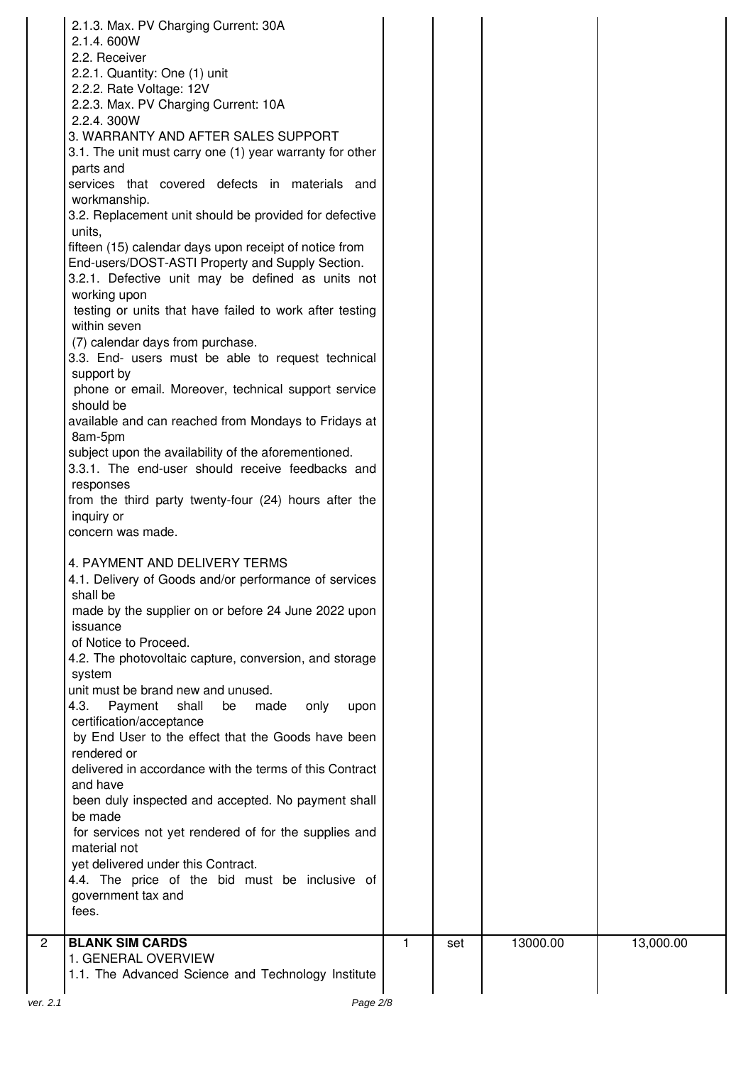| 2.1.3. Max. PV Charging Current: 30A                     |   |     |          |           |
|----------------------------------------------------------|---|-----|----------|-----------|
| 2.1.4.600W                                               |   |     |          |           |
| 2.2. Receiver                                            |   |     |          |           |
| 2.2.1. Quantity: One (1) unit                            |   |     |          |           |
| 2.2.2. Rate Voltage: 12V                                 |   |     |          |           |
| 2.2.3. Max. PV Charging Current: 10A                     |   |     |          |           |
| 2.2.4.300W                                               |   |     |          |           |
| 3. WARRANTY AND AFTER SALES SUPPORT                      |   |     |          |           |
| 3.1. The unit must carry one (1) year warranty for other |   |     |          |           |
| parts and                                                |   |     |          |           |
| services that covered defects in materials and           |   |     |          |           |
| workmanship.                                             |   |     |          |           |
| 3.2. Replacement unit should be provided for defective   |   |     |          |           |
| units,                                                   |   |     |          |           |
| fifteen (15) calendar days upon receipt of notice from   |   |     |          |           |
| End-users/DOST-ASTI Property and Supply Section.         |   |     |          |           |
| 3.2.1. Defective unit may be defined as units not        |   |     |          |           |
| working upon                                             |   |     |          |           |
| testing or units that have failed to work after testing  |   |     |          |           |
| within seven                                             |   |     |          |           |
| (7) calendar days from purchase.                         |   |     |          |           |
| 3.3. End- users must be able to request technical        |   |     |          |           |
| support by                                               |   |     |          |           |
| phone or email. Moreover, technical support service      |   |     |          |           |
| should be                                                |   |     |          |           |
| available and can reached from Mondays to Fridays at     |   |     |          |           |
| 8am-5pm                                                  |   |     |          |           |
| subject upon the availability of the aforementioned.     |   |     |          |           |
| 3.3.1. The end-user should receive feedbacks and         |   |     |          |           |
| responses                                                |   |     |          |           |
| from the third party twenty-four (24) hours after the    |   |     |          |           |
| inquiry or<br>concern was made.                          |   |     |          |           |
|                                                          |   |     |          |           |
| 4. PAYMENT AND DELIVERY TERMS                            |   |     |          |           |
| 4.1. Delivery of Goods and/or performance of services    |   |     |          |           |
| shall be                                                 |   |     |          |           |
| made by the supplier on or before 24 June 2022 upon      |   |     |          |           |
| issuance                                                 |   |     |          |           |
| of Notice to Proceed.                                    |   |     |          |           |
| 4.2. The photovoltaic capture, conversion, and storage   |   |     |          |           |
| system                                                   |   |     |          |           |
| unit must be brand new and unused.                       |   |     |          |           |
| 4.3.<br>Payment<br>shall<br>be<br>made<br>only<br>upon   |   |     |          |           |
| certification/acceptance                                 |   |     |          |           |
| by End User to the effect that the Goods have been       |   |     |          |           |
| rendered or                                              |   |     |          |           |
| delivered in accordance with the terms of this Contract  |   |     |          |           |
| and have                                                 |   |     |          |           |
| been duly inspected and accepted. No payment shall       |   |     |          |           |
| be made                                                  |   |     |          |           |
| for services not yet rendered of for the supplies and    |   |     |          |           |
| material not                                             |   |     |          |           |
| yet delivered under this Contract.                       |   |     |          |           |
| 4.4. The price of the bid must be inclusive of           |   |     |          |           |
| government tax and                                       |   |     |          |           |
| fees.                                                    |   |     |          |           |
| <b>BLANK SIM CARDS</b>                                   | 1 | set | 13000.00 | 13,000.00 |
| 1. GENERAL OVERVIEW                                      |   |     |          |           |
| 1.1. The Advanced Science and Technology Institute       |   |     |          |           |
|                                                          |   |     |          |           |
| Page 2/8                                                 |   |     |          |           |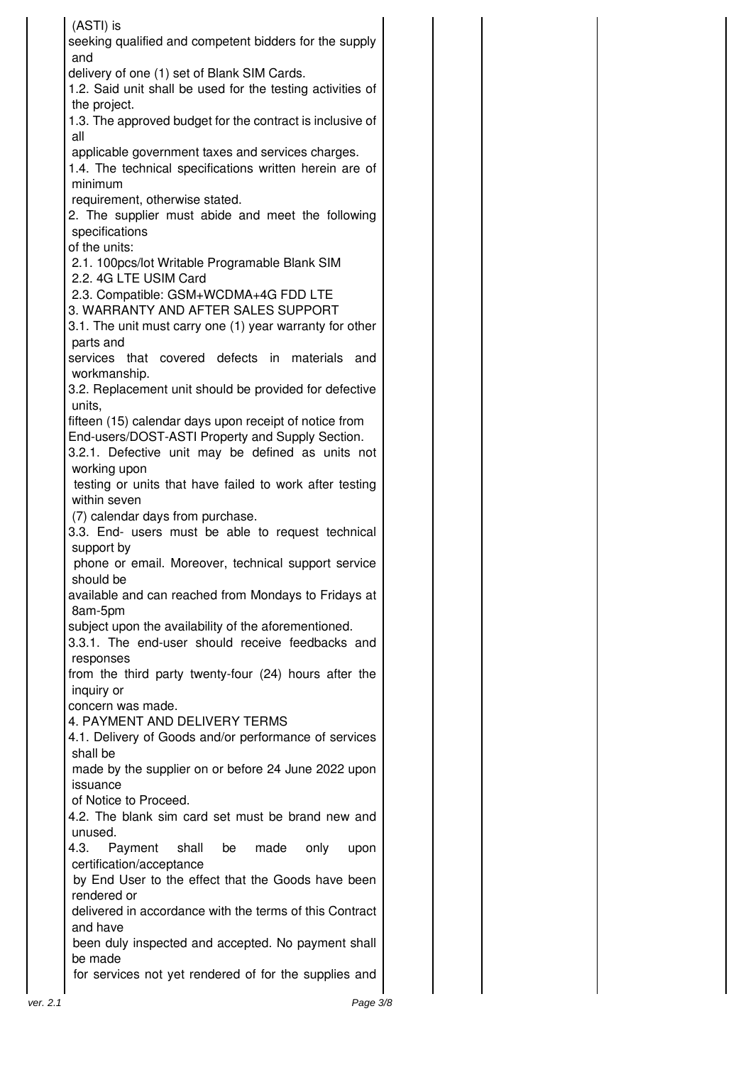| (ASTI) is                                                               |  |  |
|-------------------------------------------------------------------------|--|--|
| seeking qualified and competent bidders for the supply                  |  |  |
| and                                                                     |  |  |
| delivery of one (1) set of Blank SIM Cards.                             |  |  |
| 1.2. Said unit shall be used for the testing activities of              |  |  |
| the project.                                                            |  |  |
| 1.3. The approved budget for the contract is inclusive of               |  |  |
| all                                                                     |  |  |
| applicable government taxes and services charges.                       |  |  |
| 1.4. The technical specifications written herein are of                 |  |  |
| minimum                                                                 |  |  |
| requirement, otherwise stated.                                          |  |  |
| 2. The supplier must abide and meet the following                       |  |  |
| specifications                                                          |  |  |
| of the units:                                                           |  |  |
| 2.1. 100pcs/lot Writable Programable Blank SIM                          |  |  |
| 2.2. 4G LTE USIM Card                                                   |  |  |
| 2.3. Compatible: GSM+WCDMA+4G FDD LTE                                   |  |  |
| 3. WARRANTY AND AFTER SALES SUPPORT                                     |  |  |
| 3.1. The unit must carry one (1) year warranty for other                |  |  |
| parts and                                                               |  |  |
| services that covered defects in materials and                          |  |  |
| workmanship.                                                            |  |  |
| 3.2. Replacement unit should be provided for defective                  |  |  |
| units,                                                                  |  |  |
| fifteen (15) calendar days upon receipt of notice from                  |  |  |
| End-users/DOST-ASTI Property and Supply Section.                        |  |  |
| 3.2.1. Defective unit may be defined as units not                       |  |  |
| working upon<br>testing or units that have failed to work after testing |  |  |
| within seven                                                            |  |  |
| (7) calendar days from purchase.                                        |  |  |
| 3.3. End- users must be able to request technical                       |  |  |
| support by                                                              |  |  |
| phone or email. Moreover, technical support service                     |  |  |
| should be                                                               |  |  |
| available and can reached from Mondays to Fridays at                    |  |  |
| 8am-5pm                                                                 |  |  |
| subject upon the availability of the aforementioned.                    |  |  |
| 3.3.1. The end-user should receive feedbacks and                        |  |  |
| responses                                                               |  |  |
| from the third party twenty-four (24) hours after the                   |  |  |
| inquiry or                                                              |  |  |
| concern was made.                                                       |  |  |
| 4. PAYMENT AND DELIVERY TERMS                                           |  |  |
| 4.1. Delivery of Goods and/or performance of services<br>shall be       |  |  |
| made by the supplier on or before 24 June 2022 upon                     |  |  |
| issuance                                                                |  |  |
| of Notice to Proceed.                                                   |  |  |
| 4.2. The blank sim card set must be brand new and                       |  |  |
| unused.                                                                 |  |  |
| 4.3.<br>Payment<br>shall<br>be<br>made<br>only<br>upon                  |  |  |
| certification/acceptance                                                |  |  |
| by End User to the effect that the Goods have been                      |  |  |
| rendered or                                                             |  |  |
| delivered in accordance with the terms of this Contract                 |  |  |
| and have                                                                |  |  |
| been duly inspected and accepted. No payment shall                      |  |  |
| be made                                                                 |  |  |
| for services not yet rendered of for the supplies and                   |  |  |
|                                                                         |  |  |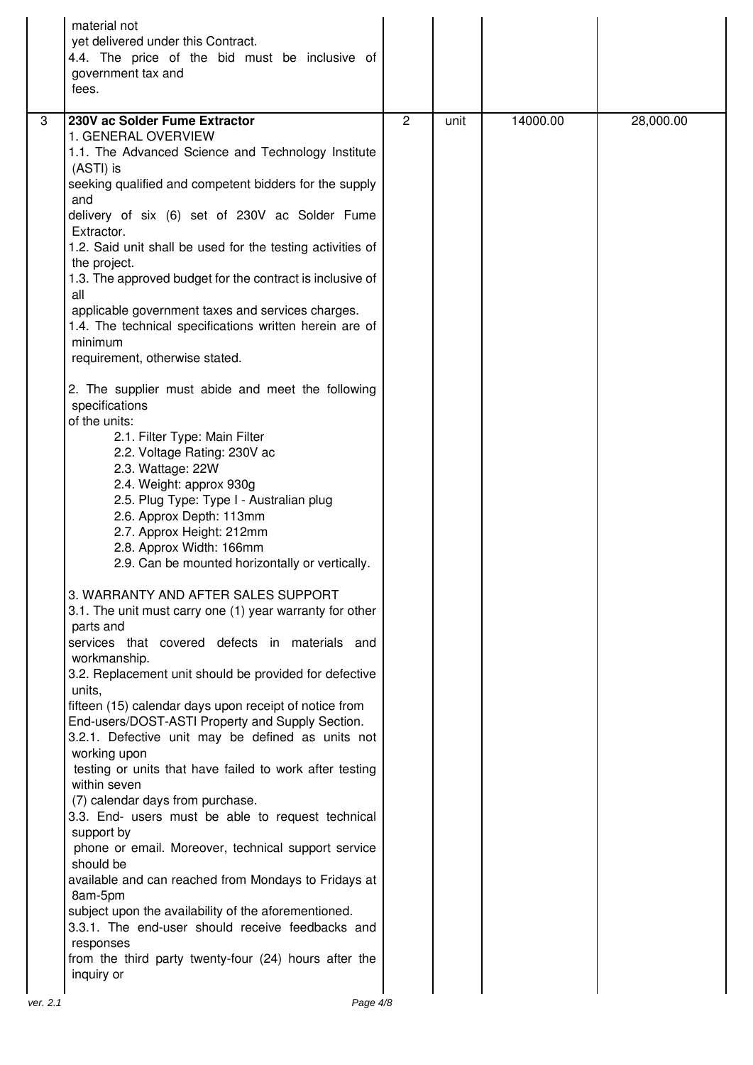|          | material not<br>yet delivered under this Contract.<br>4.4. The price of the bid must be inclusive of<br>government tax and<br>fees.                                                                                                                                                                                                                                                                                                                                                                                                                                                                                                                                                                                                                                                                                                                                                                                                                                                                                                                                                                                                                                                                                                                                                                                                                                                                                                                                                                                                                                                                                                                                                                                                                                                                                                                              |                |      |          |           |
|----------|------------------------------------------------------------------------------------------------------------------------------------------------------------------------------------------------------------------------------------------------------------------------------------------------------------------------------------------------------------------------------------------------------------------------------------------------------------------------------------------------------------------------------------------------------------------------------------------------------------------------------------------------------------------------------------------------------------------------------------------------------------------------------------------------------------------------------------------------------------------------------------------------------------------------------------------------------------------------------------------------------------------------------------------------------------------------------------------------------------------------------------------------------------------------------------------------------------------------------------------------------------------------------------------------------------------------------------------------------------------------------------------------------------------------------------------------------------------------------------------------------------------------------------------------------------------------------------------------------------------------------------------------------------------------------------------------------------------------------------------------------------------------------------------------------------------------------------------------------------------|----------------|------|----------|-----------|
| 3        | 230V ac Solder Fume Extractor<br>1. GENERAL OVERVIEW<br>1.1. The Advanced Science and Technology Institute<br>(ASTI) is<br>seeking qualified and competent bidders for the supply<br>and<br>delivery of six (6) set of 230V ac Solder Fume<br>Extractor.<br>1.2. Said unit shall be used for the testing activities of<br>the project.<br>1.3. The approved budget for the contract is inclusive of<br>all<br>applicable government taxes and services charges.<br>1.4. The technical specifications written herein are of<br>minimum<br>requirement, otherwise stated.<br>2. The supplier must abide and meet the following<br>specifications<br>of the units:<br>2.1. Filter Type: Main Filter<br>2.2. Voltage Rating: 230V ac<br>2.3. Wattage: 22W<br>2.4. Weight: approx 930g<br>2.5. Plug Type: Type I - Australian plug<br>2.6. Approx Depth: 113mm<br>2.7. Approx Height: 212mm<br>2.8. Approx Width: 166mm<br>2.9. Can be mounted horizontally or vertically.<br>3. WARRANTY AND AFTER SALES SUPPORT<br>3.1. The unit must carry one (1) year warranty for other<br>parts and<br>services that covered defects in materials and<br>workmanship.<br>3.2. Replacement unit should be provided for defective<br>units,<br>fifteen (15) calendar days upon receipt of notice from<br>End-users/DOST-ASTI Property and Supply Section.<br>3.2.1. Defective unit may be defined as units not<br>working upon<br>testing or units that have failed to work after testing<br>within seven<br>(7) calendar days from purchase.<br>3.3. End- users must be able to request technical<br>support by<br>phone or email. Moreover, technical support service<br>should be<br>available and can reached from Mondays to Fridays at<br>8am-5pm<br>subject upon the availability of the aforementioned.<br>3.3.1. The end-user should receive feedbacks and<br>responses | $\overline{2}$ | unit | 14000.00 | 28,000.00 |
| ver. 2.1 | from the third party twenty-four (24) hours after the<br>inquiry or<br>Page 4/8                                                                                                                                                                                                                                                                                                                                                                                                                                                                                                                                                                                                                                                                                                                                                                                                                                                                                                                                                                                                                                                                                                                                                                                                                                                                                                                                                                                                                                                                                                                                                                                                                                                                                                                                                                                  |                |      |          |           |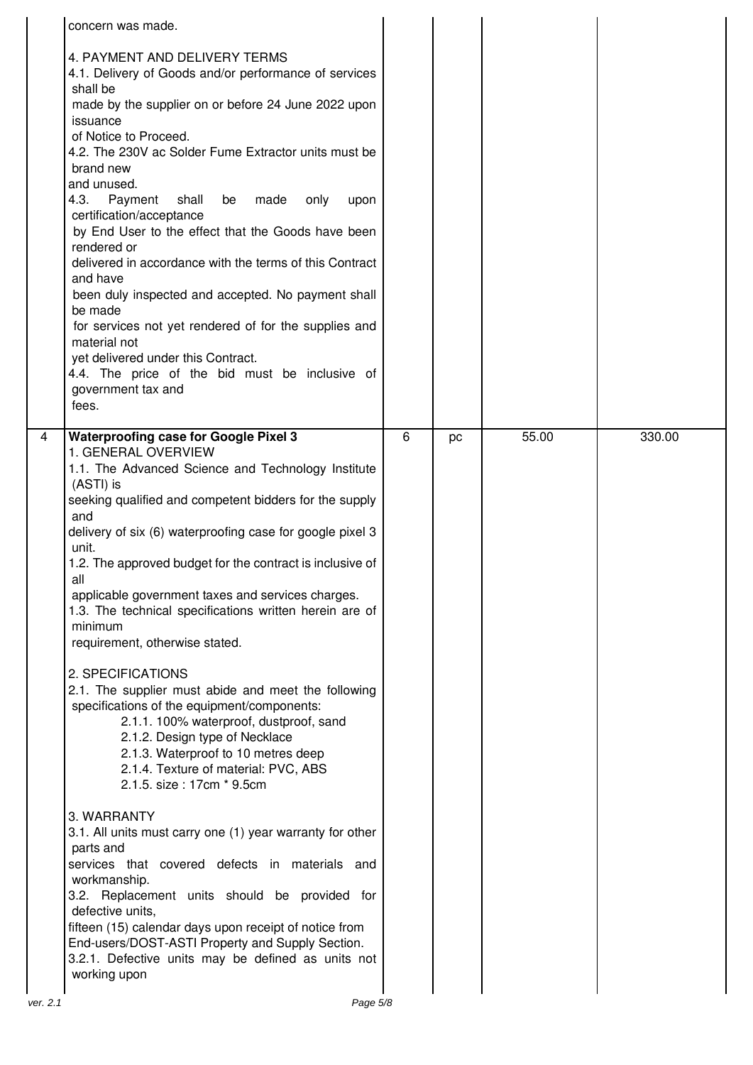| concern was made.                                                                                                                                                                                                                                                                                                                                                                                                                                                                                                                                                                                                                                                                                                                                                                                                                                                                                                                                                                                                                                                                                                                                                                                                                                                        |   |    |       |        |
|--------------------------------------------------------------------------------------------------------------------------------------------------------------------------------------------------------------------------------------------------------------------------------------------------------------------------------------------------------------------------------------------------------------------------------------------------------------------------------------------------------------------------------------------------------------------------------------------------------------------------------------------------------------------------------------------------------------------------------------------------------------------------------------------------------------------------------------------------------------------------------------------------------------------------------------------------------------------------------------------------------------------------------------------------------------------------------------------------------------------------------------------------------------------------------------------------------------------------------------------------------------------------|---|----|-------|--------|
| 4. PAYMENT AND DELIVERY TERMS<br>4.1. Delivery of Goods and/or performance of services<br>shall be<br>made by the supplier on or before 24 June 2022 upon<br>issuance<br>of Notice to Proceed.<br>4.2. The 230V ac Solder Fume Extractor units must be<br>brand new<br>and unused.<br>4.3.<br>Payment<br>shall<br>be<br>made<br>only<br>upon<br>certification/acceptance<br>by End User to the effect that the Goods have been<br>rendered or<br>delivered in accordance with the terms of this Contract<br>and have<br>been duly inspected and accepted. No payment shall<br>be made<br>for services not yet rendered of for the supplies and<br>material not<br>yet delivered under this Contract.<br>4.4. The price of the bid must be inclusive of<br>government tax and<br>fees.                                                                                                                                                                                                                                                                                                                                                                                                                                                                                    |   |    |       |        |
| $\overline{4}$<br><b>Waterproofing case for Google Pixel 3</b><br>1. GENERAL OVERVIEW<br>1.1. The Advanced Science and Technology Institute<br>(ASTI) is<br>seeking qualified and competent bidders for the supply<br>and<br>delivery of six (6) waterproofing case for google pixel 3<br>unit.<br>1.2. The approved budget for the contract is inclusive of<br>all<br>applicable government taxes and services charges.<br>1.3. The technical specifications written herein are of<br>minimum<br>requirement, otherwise stated.<br>2. SPECIFICATIONS<br>2.1. The supplier must abide and meet the following<br>specifications of the equipment/components:<br>2.1.1. 100% waterproof, dustproof, sand<br>2.1.2. Design type of Necklace<br>2.1.3. Waterproof to 10 metres deep<br>2.1.4. Texture of material: PVC, ABS<br>2.1.5. size: 17cm * 9.5cm<br>3. WARRANTY<br>3.1. All units must carry one (1) year warranty for other<br>parts and<br>services that covered defects in materials and<br>workmanship.<br>3.2. Replacement units should be provided for<br>defective units,<br>fifteen (15) calendar days upon receipt of notice from<br>End-users/DOST-ASTI Property and Supply Section.<br>3.2.1. Defective units may be defined as units not<br>working upon | 6 | pc | 55.00 | 330.00 |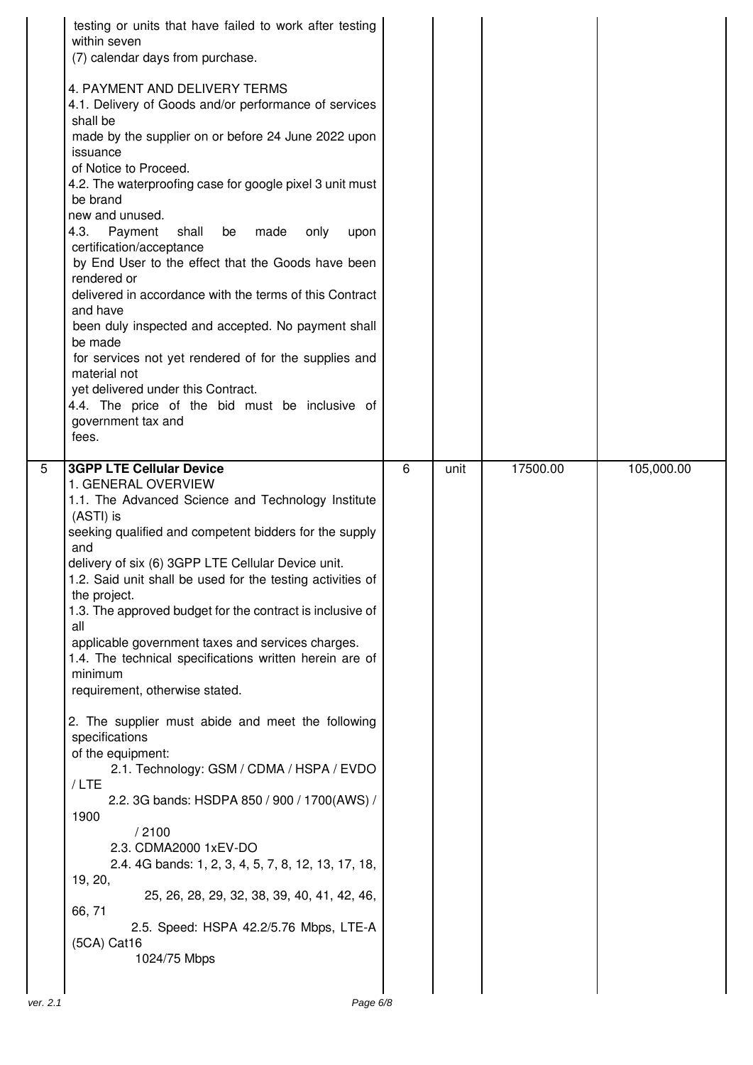| 5        | 4. PAYMENT AND DELIVERY TERMS<br>4.1. Delivery of Goods and/or performance of services<br>shall be<br>made by the supplier on or before 24 June 2022 upon<br>issuance<br>of Notice to Proceed.<br>4.2. The waterproofing case for google pixel 3 unit must<br>be brand<br>new and unused.<br>4.3.<br>Payment<br>made<br>shall<br>be<br>only<br>upon<br>certification/acceptance<br>by End User to the effect that the Goods have been<br>rendered or<br>delivered in accordance with the terms of this Contract<br>and have<br>been duly inspected and accepted. No payment shall<br>be made<br>for services not yet rendered of for the supplies and<br>material not<br>yet delivered under this Contract.<br>4.4. The price of the bid must be inclusive of<br>government tax and<br>fees.<br><b>3GPP LTE Cellular Device</b><br>1. GENERAL OVERVIEW<br>1.1. The Advanced Science and Technology Institute<br>(ASTI) is<br>seeking qualified and competent bidders for the supply | 6 | unit | 17500.00 | 105,000.00 |
|----------|-------------------------------------------------------------------------------------------------------------------------------------------------------------------------------------------------------------------------------------------------------------------------------------------------------------------------------------------------------------------------------------------------------------------------------------------------------------------------------------------------------------------------------------------------------------------------------------------------------------------------------------------------------------------------------------------------------------------------------------------------------------------------------------------------------------------------------------------------------------------------------------------------------------------------------------------------------------------------------------|---|------|----------|------------|
|          | and<br>delivery of six (6) 3GPP LTE Cellular Device unit.<br>1.2. Said unit shall be used for the testing activities of<br>the project.<br>1.3. The approved budget for the contract is inclusive of<br>all<br>applicable government taxes and services charges.<br>1.4. The technical specifications written herein are of<br>minimum<br>requirement, otherwise stated.<br>2. The supplier must abide and meet the following<br>specifications<br>of the equipment:<br>2.1. Technology: GSM / CDMA / HSPA / EVDO<br>/LTE<br>2.2. 3G bands: HSDPA 850 / 900 / 1700(AWS) /<br>1900<br>/2100<br>2.3. CDMA2000 1xEV-DO                                                                                                                                                                                                                                                                                                                                                                 |   |      |          |            |
| ver. 2.1 | 2.4. 4G bands: 1, 2, 3, 4, 5, 7, 8, 12, 13, 17, 18,<br>19, 20,<br>25, 26, 28, 29, 32, 38, 39, 40, 41, 42, 46,<br>66,71<br>2.5. Speed: HSPA 42.2/5.76 Mbps, LTE-A<br>(5CA) Cat16<br>1024/75 Mbps<br>Page 6/8                                                                                                                                                                                                                                                                                                                                                                                                                                                                                                                                                                                                                                                                                                                                                                         |   |      |          |            |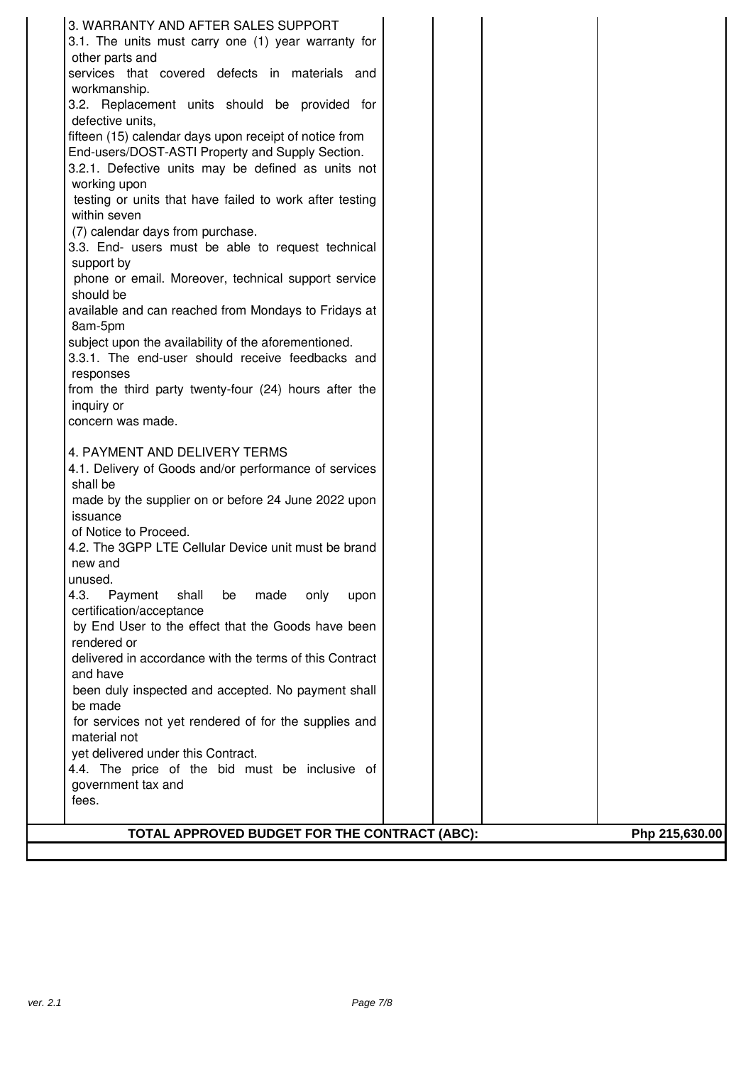| 3. WARRANTY AND AFTER SALES SUPPORT                     |                |
|---------------------------------------------------------|----------------|
| 3.1. The units must carry one (1) year warranty for     |                |
| other parts and                                         |                |
| services that covered defects in materials and          |                |
| workmanship.                                            |                |
| 3.2. Replacement units should be provided for           |                |
| defective units,                                        |                |
| fifteen (15) calendar days upon receipt of notice from  |                |
| End-users/DOST-ASTI Property and Supply Section.        |                |
| 3.2.1. Defective units may be defined as units not      |                |
| working upon                                            |                |
| testing or units that have failed to work after testing |                |
| within seven                                            |                |
| (7) calendar days from purchase.                        |                |
| 3.3. End- users must be able to request technical       |                |
| support by                                              |                |
| phone or email. Moreover, technical support service     |                |
| should be                                               |                |
| available and can reached from Mondays to Fridays at    |                |
| 8am-5pm                                                 |                |
| subject upon the availability of the aforementioned.    |                |
| 3.3.1. The end-user should receive feedbacks and        |                |
| responses                                               |                |
| from the third party twenty-four (24) hours after the   |                |
| inquiry or                                              |                |
| concern was made.                                       |                |
|                                                         |                |
| 4. PAYMENT AND DELIVERY TERMS                           |                |
| 4.1. Delivery of Goods and/or performance of services   |                |
| shall be                                                |                |
| made by the supplier on or before 24 June 2022 upon     |                |
| issuance                                                |                |
| of Notice to Proceed.                                   |                |
| 4.2. The 3GPP LTE Cellular Device unit must be brand    |                |
| new and                                                 |                |
| unused.                                                 |                |
| 4.3.<br>shall<br>only<br>Payment<br>be<br>made<br>upon  |                |
| certification/acceptance                                |                |
| by End User to the effect that the Goods have been      |                |
| rendered or                                             |                |
| delivered in accordance with the terms of this Contract |                |
| and have                                                |                |
| been duly inspected and accepted. No payment shall      |                |
| be made                                                 |                |
| for services not yet rendered of for the supplies and   |                |
| material not                                            |                |
| yet delivered under this Contract.                      |                |
| 4.4. The price of the bid must be inclusive of          |                |
| government tax and                                      |                |
| fees.                                                   |                |
| TOTAL APPROVED BUDGET FOR THE CONTRACT (ABC):           | Php 215,630.00 |
|                                                         |                |